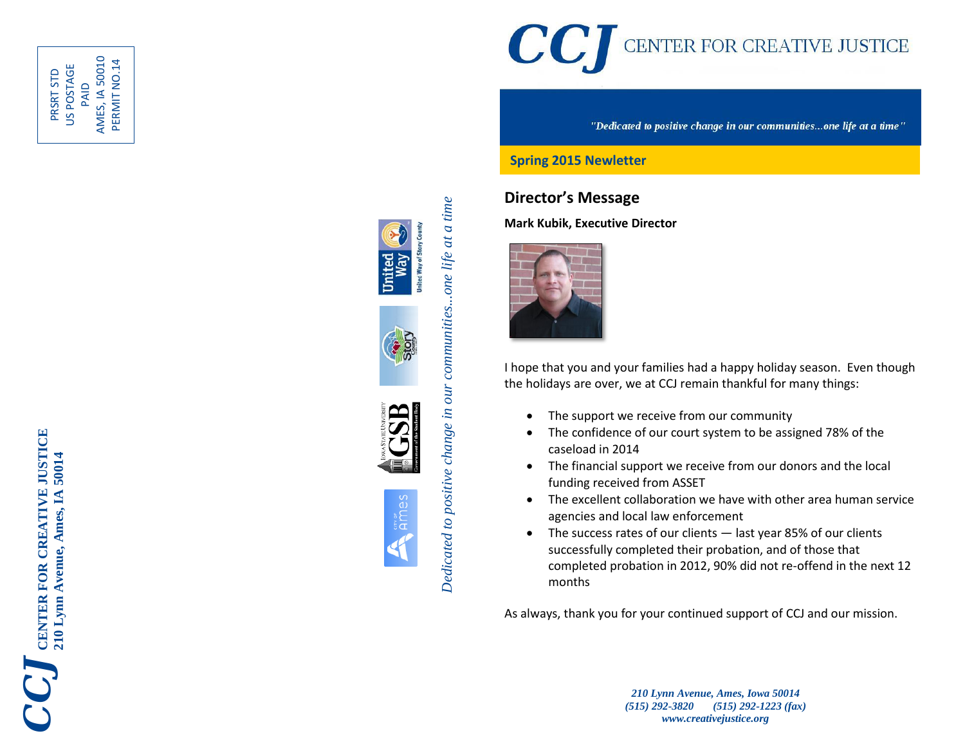

PAID<br>AMES, IA 50010 AMES, IA 50010 PERMIT NO.14 PERMIT NO.14US POSTAGE PRSRT STD









Dedicated to positive change in our communities...one life at a time *Dedicated to positive change in our communities...one life at a time*



"Dedicated to positive change in our communities...one life at a time"

#### **Spring 2015 Newletter**

### **Director's Message**

**Mark Kubik, Executive Director**



I hope that you and your families had a happy holiday season. Even though the holidays are over, we at CCJ remain thankful for many things:

- The support we receive from our community
- The confidence of our court system to be assigned 78% of the caseload in 2014
- The financial support we receive from our donors and the local funding received from ASSET
- The excellent collaboration we have with other area human service agencies and local law enforcement
- The success rates of our clients last year 85% of our clients successfully completed their probation, and of those that completed probation in 2012, 90% did not re -offend in the next 12 months

As always, thank you for your continued support of CCJ and our mission.

*210 Lynn Avenue, Ames, Iowa 50014 (515) 292 -3820 (515) 292 -1223 (fax) www.creativejustice.org*